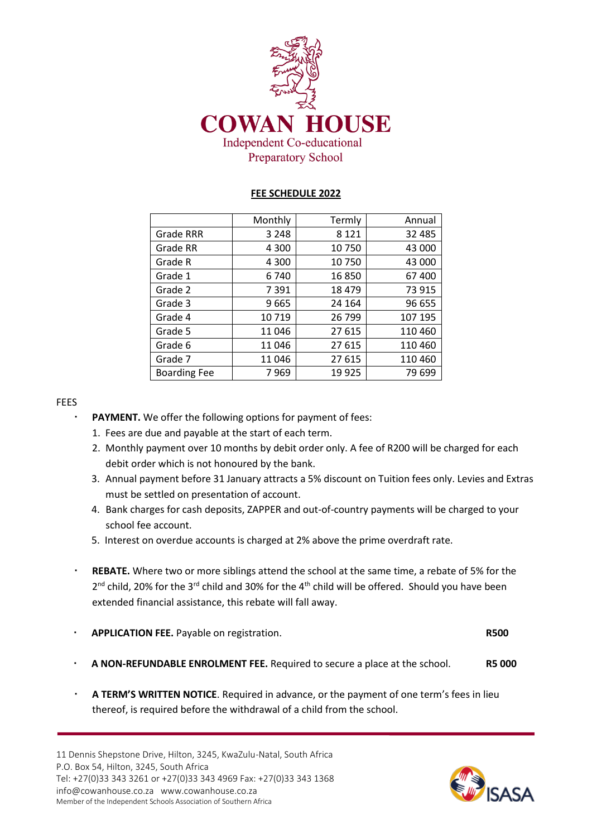

# **FEE SCHEDULE 2022**

|                     | Monthly | Termly  | Annual   |
|---------------------|---------|---------|----------|
| <b>Grade RRR</b>    | 3 2 4 8 | 8 1 2 1 | 32 4 8 5 |
| Grade RR            | 4 3 0 0 | 10750   | 43 000   |
| Grade R             | 4 3 0 0 | 10750   | 43 000   |
| Grade 1             | 6740    | 16850   | 67400    |
| Grade 2             | 7 3 9 1 | 18 4 79 | 73 915   |
| Grade 3             | 9665    | 24 164  | 96 655   |
| Grade 4             | 10719   | 26 799  | 107 195  |
| Grade 5             | 11 046  | 27 615  | 110 460  |
| Grade 6             | 11046   | 27 615  | 110 460  |
| Grade 7             | 11046   | 27 615  | 110 460  |
| <b>Boarding Fee</b> | 7969    | 19925   | 79 699   |

### FEES

- **PAYMENT.** We offer the following options for payment of fees:
- 1. Fees are due and payable at the start of each term.
- 2. Monthly payment over 10 months by debit order only. A fee of R200 will be charged for each debit order which is not honoured by the bank.
- 3. Annual payment before 31 January attracts a 5% discount on Tuition fees only. Levies and Extras must be settled on presentation of account.
- 4. Bank charges for cash deposits, ZAPPER and out-of-country payments will be charged to your school fee account.
- 5. Interest on overdue accounts is charged at 2% above the prime overdraft rate.
- **REBATE.** Where two or more siblings attend the school at the same time, a rebate of 5% for the  $2^{nd}$  child, 20% for the 3<sup>rd</sup> child and 30% for the 4<sup>th</sup> child will be offered. Should you have been extended financial assistance, this rebate will fall away.

| <b>APPLICATION FEE.</b> Payable on registration. | <b>R500</b> |
|--------------------------------------------------|-------------|
|                                                  |             |

- **A NON-REFUNDABLE ENROLMENT FEE.** Required to secure a place at the school. **R5 000**
- **A TERM'S WRITTEN NOTICE**. Required in advance, or the payment of one term's fees in lieu thereof, is required before the withdrawal of a child from the school.

11 Dennis Shepstone Drive, Hilton, 3245, KwaZulu-Natal, South Africa P.O. Box 54, Hilton, 3245, South Africa Tel: +27(0)33 343 3261 or +27(0)33 343 4969 Fax: +27(0)33 343 1368 info@cowanhouse.co.za [www.cowanhouse.co.za](http://www.cowanhouse.org.za/) Member of the Independent Schools Association of Southern Africa

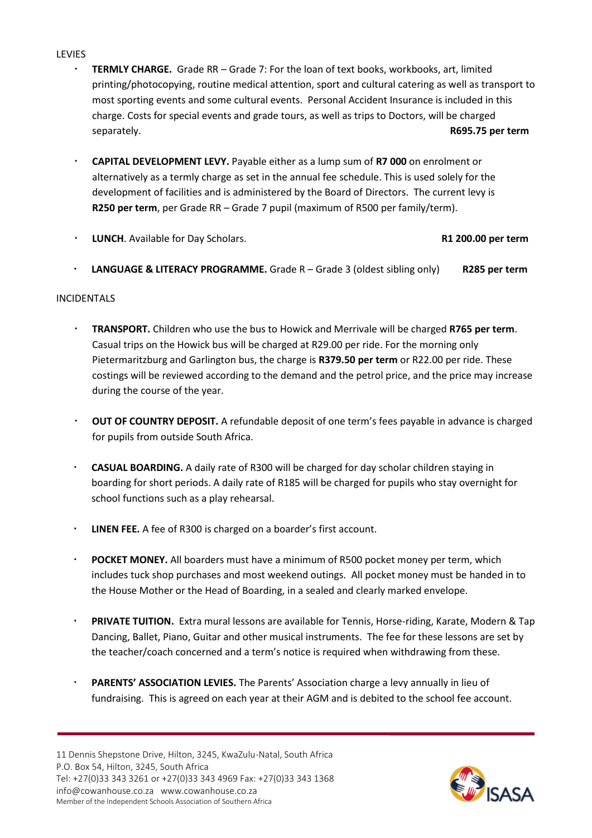### **LEVIES**

- **TERMLY CHARGE.** Grade RR Grade 7: For the loan of text books, workbooks, art, limited printing/photocopying, routine medical attention, sport and cultural catering as well as transport to most sporting events and some cultural events. Personal Accident Insurance is included in this charge. Costs for special events and grade tours, as well as trips to Doctors, will be charged separately. **R695.75 per term**
- **CAPITAL DEVELOPMENT LEVY.** Payable either as a lump sum of **R7 000** on enrolment or alternatively as a termly charge as set in the annual fee schedule. This is used solely for the development of facilities and is administered by the Board of Directors. The current levy is **R250 per term**, per Grade RR – Grade 7 pupil (maximum of R500 per family/term).
- **LUNCH**. Available for Day Scholars. **R1 200.00 per term**

**LANGUAGE & LITERACY PROGRAMME.** Grade R – Grade 3 (oldest sibling only) **R285 per term**

### INCIDENTALS

- **TRANSPORT.** Children who use the bus to Howick and Merrivale will be charged **R765 per term**. Casual trips on the Howick bus will be charged at R29.00 per ride. For the morning only Pietermaritzburg and Garlington bus, the charge is **R379.50 per term** or R22.00 per ride. These costings will be reviewed according to the demand and the petrol price, and the price may increase during the course of the year.
- **OUT OF COUNTRY DEPOSIT.** A refundable deposit of one term's fees payable in advance is charged for pupils from outside South Africa.
- **CASUAL BOARDING.** A daily rate of R300 will be charged for day scholar children staying in boarding for short periods. A daily rate of R185 will be charged for pupils who stay overnight for school functions such as a play rehearsal.
- **LINEN FEE.** A fee of R300 is charged on a boarder's first account.
- **POCKET MONEY.** All boarders must have a minimum of R500 pocket money per term, which includes tuck shop purchases and most weekend outings. All pocket money must be handed in to the House Mother or the Head of Boarding, in a sealed and clearly marked envelope.
- **PRIVATE TUITION.** Extra mural lessons are available for Tennis, Horse-riding, Karate, Modern & Tap Dancing, Ballet, Piano, Guitar and other musical instruments. The fee for these lessons are set by the teacher/coach concerned and a term's notice is required when withdrawing from these.
- PARENTS' ASSOCIATION LEVIES. The Parents' Association charge a levy annually in lieu of fundraising. This is agreed on each year at their AGM and is debited to the school fee account.